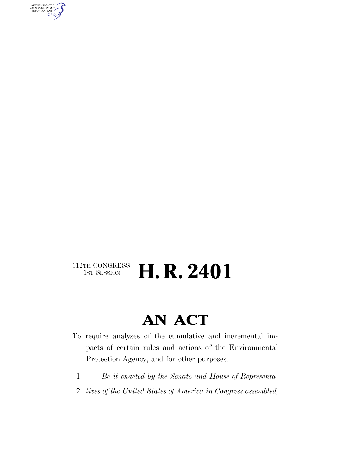AUTHENTICATED<br>U.S. GOVERNMENT<br>INFORMATION GPO

### $\begin{array}{c} \textbf{112TH CONGRESS} \\ \textbf{1ST SESION} \end{array}$ **H. R. 2401**

## **AN ACT**

- To require analyses of the cumulative and incremental impacts of certain rules and actions of the Environmental Protection Agency, and for other purposes.
	- 1 *Be it enacted by the Senate and House of Representa-*
- 2 *tives of the United States of America in Congress assembled,*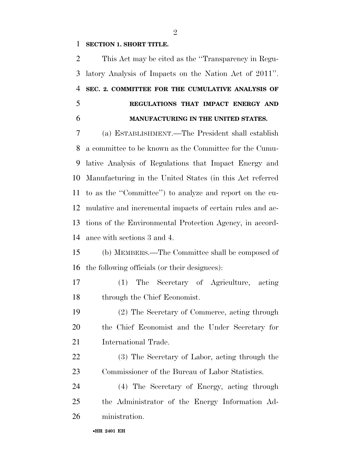#### **SECTION 1. SHORT TITLE.**

 This Act may be cited as the ''Transparency in Regu- latory Analysis of Impacts on the Nation Act of 2011''. **SEC. 2. COMMITTEE FOR THE CUMULATIVE ANALYSIS OF REGULATIONS THAT IMPACT ENERGY AND MANUFACTURING IN THE UNITED STATES.** 

 (a) ESTABLISHMENT.—The President shall establish a committee to be known as the Committee for the Cumu- lative Analysis of Regulations that Impact Energy and Manufacturing in the United States (in this Act referred to as the ''Committee'') to analyze and report on the cu- mulative and incremental impacts of certain rules and ac- tions of the Environmental Protection Agency, in accord-ance with sections 3 and 4.

 (b) MEMBERS.—The Committee shall be composed of the following officials (or their designees):

 (1) The Secretary of Agriculture, acting through the Chief Economist.

 (2) The Secretary of Commerce, acting through the Chief Economist and the Under Secretary for International Trade.

 (3) The Secretary of Labor, acting through the Commissioner of the Bureau of Labor Statistics.

 (4) The Secretary of Energy, acting through the Administrator of the Energy Information Ad-ministration.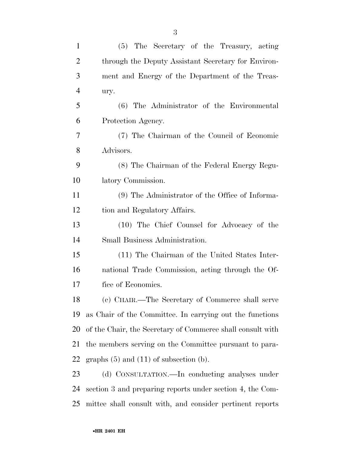| $\mathbf{1}$   | (5) The Secretary of the Treasury, acting                  |
|----------------|------------------------------------------------------------|
| $\overline{2}$ | through the Deputy Assistant Secretary for Environ-        |
| 3              | ment and Energy of the Department of the Treas-            |
| $\overline{4}$ | ury.                                                       |
| 5              | (6) The Administrator of the Environmental                 |
| 6              | Protection Agency.                                         |
| 7              | (7) The Chairman of the Council of Economic                |
| 8              | Advisors.                                                  |
| 9              | (8) The Chairman of the Federal Energy Regu-               |
| 10             | latory Commission.                                         |
| 11             | (9) The Administrator of the Office of Informa-            |
| 12             | tion and Regulatory Affairs.                               |
| 13             | (10) The Chief Counsel for Advocacy of the                 |
| 14             | Small Business Administration.                             |
| 15             | (11) The Chairman of the United States Inter-              |
| 16             | national Trade Commission, acting through the Of-          |
| 17             | fice of Economics.                                         |
| 18             | (c) CHAIR.—The Secretary of Commerce shall serve           |
| 19             | as Chair of the Committee. In carrying out the functions   |
| 20             | of the Chair, the Secretary of Commerce shall consult with |
| 21             | the members serving on the Committee pursuant to para-     |
| 22             | graphs $(5)$ and $(11)$ of subsection $(b)$ .              |
| 23             | (d) CONSULTATION.—In conducting analyses under             |
| 24             | section 3 and preparing reports under section 4, the Com-  |
| 25             | mittee shall consult with, and consider pertinent reports  |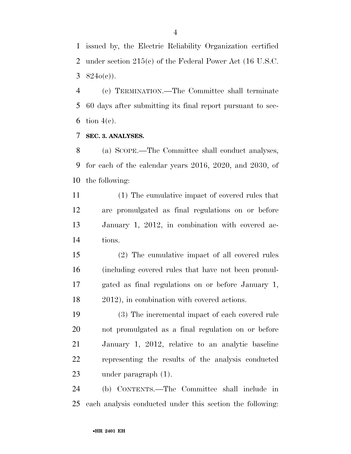issued by, the Electric Reliability Organization certified under section 215(c) of the Federal Power Act (16 U.S.C. 3  $824o(c)$ .

 (e) TERMINATION.—The Committee shall terminate 60 days after submitting its final report pursuant to sec-6 tion  $4(e)$ .

**SEC. 3. ANALYSES.** 

 (a) SCOPE.—The Committee shall conduct analyses, for each of the calendar years 2016, 2020, and 2030, of the following:

 (1) The cumulative impact of covered rules that are promulgated as final regulations on or before January 1, 2012, in combination with covered ac-tions.

 (2) The cumulative impact of all covered rules (including covered rules that have not been promul- gated as final regulations on or before January 1, 2012), in combination with covered actions.

 (3) The incremental impact of each covered rule not promulgated as a final regulation on or before January 1, 2012, relative to an analytic baseline representing the results of the analysis conducted under paragraph (1).

 (b) CONTENTS.—The Committee shall include in each analysis conducted under this section the following: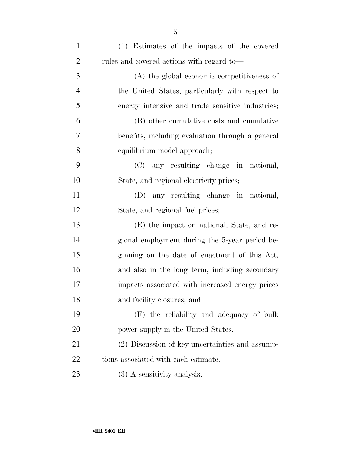| $\mathbf{1}$   | (1) Estimates of the impacts of the covered      |
|----------------|--------------------------------------------------|
| $\overline{2}$ | rules and covered actions with regard to—        |
| 3              | (A) the global economic competitiveness of       |
| $\overline{4}$ | the United States, particularly with respect to  |
| 5              | energy intensive and trade sensitive industries; |
| 6              | (B) other cumulative costs and cumulative        |
| 7              | benefits, including evaluation through a general |
| 8              | equilibrium model approach;                      |
| 9              | (C) any resulting change in national,            |
| 10             | State, and regional electricity prices;          |
| 11             | (D) any resulting change in national,            |
| 12             | State, and regional fuel prices;                 |
| 13             | (E) the impact on national, State, and re-       |
| 14             | gional employment during the 5-year period be-   |
| 15             | ginning on the date of enactment of this Act,    |
| 16             | and also in the long term, including secondary   |
| 17             | impacts associated with increased energy prices  |
| 18             | and facility closures; and                       |
| 19             | (F) the reliability and adequacy of bulk         |
| 20             | power supply in the United States.               |
| 21             | (2) Discussion of key uncertainties and assump-  |
| 22             | tions associated with each estimate.             |
| 23             | $(3)$ A sensitivity analysis.                    |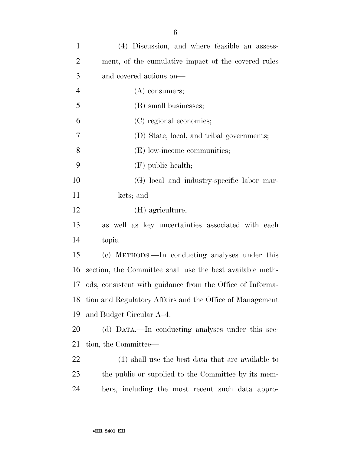| $\mathbf{1}$   | (4) Discussion, and where feasible an assess-               |
|----------------|-------------------------------------------------------------|
| $\overline{2}$ | ment, of the cumulative impact of the covered rules         |
| 3              | and covered actions on—                                     |
| $\overline{4}$ | $(A)$ consumers;                                            |
| 5              | (B) small businesses;                                       |
| 6              | (C) regional economies;                                     |
| 7              | (D) State, local, and tribal governments;                   |
| 8              | (E) low-income communities;                                 |
| 9              | $(F)$ public health;                                        |
| 10             | (G) local and industry-specific labor mar-                  |
| 11             | kets; and                                                   |
| 12             | (H) agriculture,                                            |
| 13             | as well as key uncertainties associated with each           |
| 14             | topic.                                                      |
| 15             | (c) METHODS.—In conducting analyses under this              |
| 16             | section, the Committee shall use the best available meth-   |
| 17             | ods, consistent with guidance from the Office of Informa-   |
|                | 18 tion and Regulatory Affairs and the Office of Management |
| 19             | and Budget Circular A–4.                                    |
| 20             | (d) DATA.—In conducting analyses under this sec-            |
| 21             | tion, the Committee—                                        |
| 22             | (1) shall use the best data that are available to           |
| 23             | the public or supplied to the Committee by its mem-         |
| 24             | bers, including the most recent such data appro-            |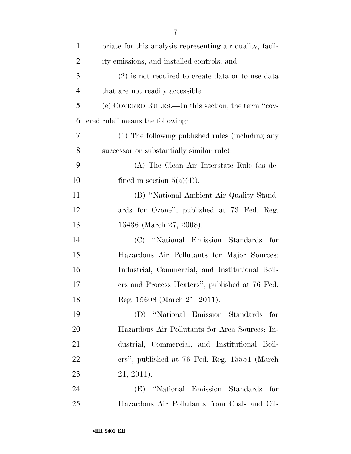| $\mathbf{1}$   | priate for this analysis representing air quality, facil- |
|----------------|-----------------------------------------------------------|
| $\overline{2}$ | ity emissions, and installed controls; and                |
| 3              | $(2)$ is not required to create data or to use data       |
| $\overline{4}$ | that are not readily accessible.                          |
| 5              | (e) COVERED RULES.—In this section, the term "cov-        |
| 6              | ered rule" means the following:                           |
| 7              | (1) The following published rules (including any          |
| 8              | successor or substantially similar rule):                 |
| 9              | (A) The Clean Air Interstate Rule (as de-                 |
| 10             | fined in section $5(a)(4)$ ).                             |
| 11             | (B) "National Ambient Air Quality Stand-                  |
| 12             | ards for Ozone", published at 73 Fed. Reg.                |
| 13             | 16436 (March 27, 2008).                                   |
| 14             | "National Emission Standards"<br>for<br>(C)               |
| 15             | Hazardous Air Pollutants for Major Sources:               |
| 16             | Industrial, Commercial, and Institutional Boil-           |
| 17             | ers and Process Heaters", published at 76 Fed.            |
| 18             | Reg. 15608 (March 21, 2011).                              |
| 19             | "National Emission Standards for<br>(D)                   |
| <b>20</b>      | Hazardous Air Pollutants for Area Sources: In-            |
| 21             | dustrial, Commercial, and Institutional Boil-             |
| 22             | ers", published at 76 Fed. Reg. 15554 (March)             |
| 23             | $21, 2011$ .                                              |
| 24             | "National Emission Standards for<br>(E)                   |
| 25             | Hazardous Air Pollutants from Coal- and Oil-              |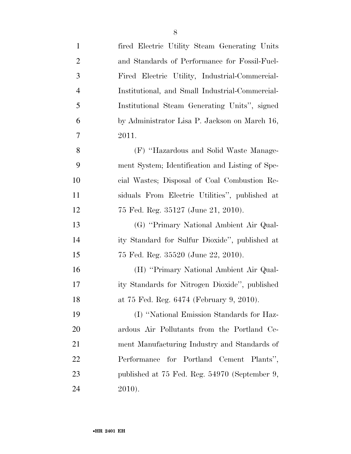| $\mathbf{1}$   | fired Electric Utility Steam Generating Units   |
|----------------|-------------------------------------------------|
| $\overline{2}$ | and Standards of Performance for Fossil-Fuel-   |
| 3              | Fired Electric Utility, Industrial-Commercial-  |
| $\overline{4}$ | Institutional, and Small Industrial-Commercial- |
| 5              | Institutional Steam Generating Units", signed   |
| 6              | by Administrator Lisa P. Jackson on March 16,   |
| 7              | 2011.                                           |
| 8              | (F) "Hazardous and Solid Waste Manage-          |
| 9              | ment System; Identification and Listing of Spe- |
| 10             | cial Wastes; Disposal of Coal Combustion Re-    |
| 11             | siduals From Electric Utilities", published at  |
| 12             | 75 Fed. Reg. 35127 (June 21, 2010).             |
| 13             | (G) "Primary National Ambient Air Qual-         |
| 14             | ity Standard for Sulfur Dioxide", published at  |
| 15             | 75 Fed. Reg. 35520 (June 22, 2010).             |
| 16             | (H) "Primary National Ambient Air Qual-         |
| 17             | ity Standards for Nitrogen Dioxide", published  |
| 18             | at 75 Fed. Reg. 6474 (February 9, 2010).        |
| 19             | (I) "National Emission Standards for Haz-       |
| 20             | ardous Air Pollutants from the Portland Ce-     |
| 21             | ment Manufacturing Industry and Standards of    |
| 22             | Performance for Portland Cement Plants",        |
| 23             | published at 75 Fed. Reg. 54970 (September 9,   |
| 24             | 2010).                                          |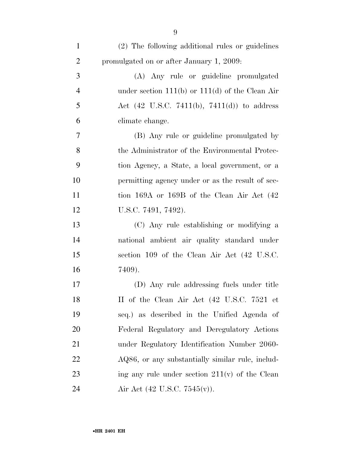| $\mathbf{1}$   | (2) The following additional rules or guidelines       |
|----------------|--------------------------------------------------------|
| $\overline{2}$ | promulgated on or after January 1, 2009:               |
| 3              | (A) Any rule or guideline promulgated                  |
| $\overline{4}$ | under section $111(b)$ or $111(d)$ of the Clean Air    |
| 5              | Act $(42 \text{ U.S.C. } 7411(b), 7411(d))$ to address |
| 6              | climate change.                                        |
| 7              | (B) Any rule or guideline promulgated by               |
| 8              | the Administrator of the Environmental Protec-         |
| 9              | tion Agency, a State, a local government, or a         |
| 10             | permitting agency under or as the result of sec-       |
| 11             | tion 169A or 169B of the Clean Air Act (42)            |
| 12             | U.S.C. 7491, 7492).                                    |
| 13             | (C) Any rule establishing or modifying a               |
| 14             | national ambient air quality standard under            |
| 15             | section 109 of the Clean Air Act (42 U.S.C.            |
| 16             | 7409).                                                 |
| 17             | (D) Any rule addressing fuels under title              |
| 18             | II of the Clean Air Act (42 U.S.C. 7521 et             |
| 19             | seq.) as described in the Unified Agenda of            |
| 20             | Federal Regulatory and Deregulatory Actions            |
| 21             | under Regulatory Identification Number 2060-           |
| <u>22</u>      | AQ86, or any substantially similar rule, includ-       |
| 23             | ing any rule under section $211(v)$ of the Clean       |
| 24             | Air Act $(42 \text{ U.S.C. } 7545(\text{v}))$ .        |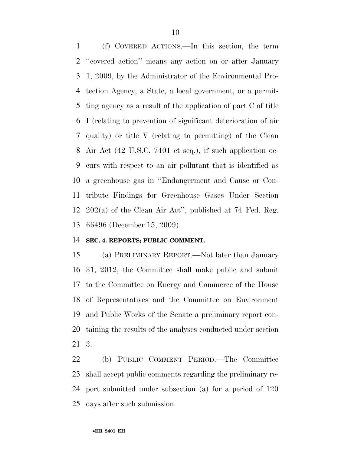(f) COVERED ACTIONS.—In this section, the term ''covered action'' means any action on or after January 1, 2009, by the Administrator of the Environmental Pro- tection Agency, a State, a local government, or a permit- ting agency as a result of the application of part C of title I (relating to prevention of significant deterioration of air quality) or title V (relating to permitting) of the Clean Air Act (42 U.S.C. 7401 et seq.), if such application oc- curs with respect to an air pollutant that is identified as a greenhouse gas in ''Endangerment and Cause or Con- tribute Findings for Greenhouse Gases Under Section 202(a) of the Clean Air Act'', published at 74 Fed. Reg. 66496 (December 15, 2009).

#### **SEC. 4. REPORTS; PUBLIC COMMENT.**

 (a) PRELIMINARY REPORT.—Not later than January 31, 2012, the Committee shall make public and submit to the Committee on Energy and Commerce of the House of Representatives and the Committee on Environment and Public Works of the Senate a preliminary report con- taining the results of the analyses conducted under section 3.

 (b) PUBLIC COMMENT PERIOD.—The Committee shall accept public comments regarding the preliminary re- port submitted under subsection (a) for a period of 120 days after such submission.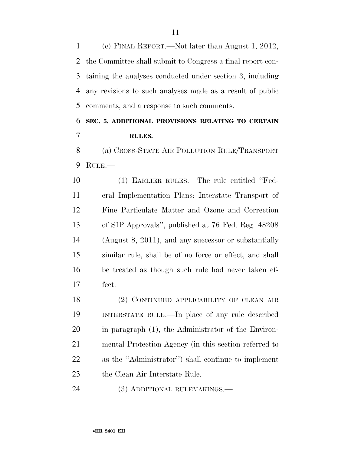(c) FINAL REPORT.—Not later than August 1, 2012, the Committee shall submit to Congress a final report con- taining the analyses conducted under section 3, including any revisions to such analyses made as a result of public comments, and a response to such comments.

### **SEC. 5. ADDITIONAL PROVISIONS RELATING TO CERTAIN RULES.**

 (a) CROSS-STATE AIR POLLUTION RULE/TRANSPORT RULE.—

 (1) EARLIER RULES.—The rule entitled ''Fed- eral Implementation Plans: Interstate Transport of Fine Particulate Matter and Ozone and Correction of SIP Approvals'', published at 76 Fed. Reg. 48208 (August 8, 2011), and any successor or substantially similar rule, shall be of no force or effect, and shall be treated as though such rule had never taken ef-fect.

 (2) CONTINUED APPLICABILITY OF CLEAN AIR INTERSTATE RULE.—In place of any rule described in paragraph (1), the Administrator of the Environ- mental Protection Agency (in this section referred to as the ''Administrator'') shall continue to implement the Clean Air Interstate Rule.

(3) ADDITIONAL RULEMAKINGS.—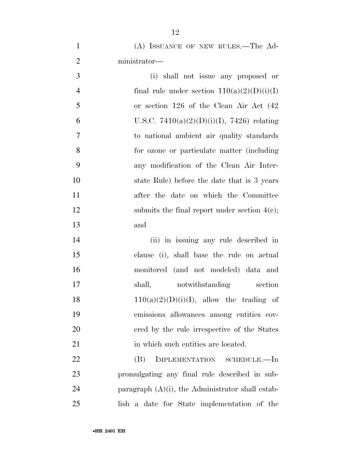(A) ISSUANCE OF NEW RULES.—The Ad-ministrator—

 (i) shall not issue any proposed or 4 final rule under section  $110(a)(2)(D)(i)(I)$  or section 126 of the Clean Air Act (42 6 U.S.C.  $7410(a)(2)(D)(i)(I)$ ,  $7426$  relating to national ambient air quality standards for ozone or particulate matter (including any modification of the Clean Air Inter- state Rule) before the date that is 3 years after the date on which the Committee 12 submits the final report under section 4(c); and

 (ii) in issuing any rule described in clause (i), shall base the rule on actual monitored (and not modeled) data and 17 shall, notwithstanding section  $110(a)(2)(D)(i)(I)$ , allow the trading of emissions allowances among entities cov- ered by the rule irrespective of the States 21 in which such entities are located.

 (B) IMPLEMENTATION SCHEDULE.—In promulgating any final rule described in sub-24 paragraph  $(A)(i)$ , the Administrator shall estab-lish a date for State implementation of the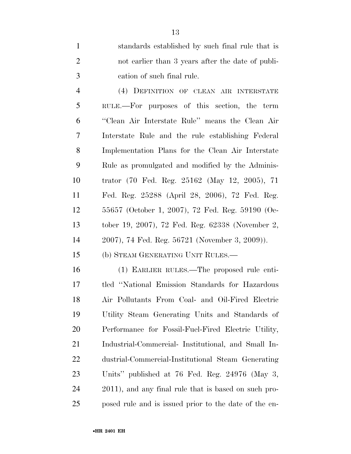standards established by such final rule that is not earlier than 3 years after the date of publi-cation of such final rule.

 (4) DEFINITION OF CLEAN AIR INTERSTATE RULE.—For purposes of this section, the term ''Clean Air Interstate Rule'' means the Clean Air Interstate Rule and the rule establishing Federal Implementation Plans for the Clean Air Interstate Rule as promulgated and modified by the Adminis- trator (70 Fed. Reg. 25162 (May 12, 2005), 71 Fed. Reg. 25288 (April 28, 2006), 72 Fed. Reg. 55657 (October 1, 2007), 72 Fed. Reg. 59190 (Oc- tober 19, 2007), 72 Fed. Reg. 62338 (November 2, 2007), 74 Fed. Reg. 56721 (November 3, 2009)).

(b) STEAM GENERATING UNIT RULES.—

 (1) EARLIER RULES.—The proposed rule enti- tled ''National Emission Standards for Hazardous Air Pollutants From Coal- and Oil-Fired Electric Utility Steam Generating Units and Standards of Performance for Fossil-Fuel-Fired Electric Utility, Industrial-Commercial- Institutional, and Small In- dustrial-Commercial-Institutional Steam Generating Units'' published at 76 Fed. Reg. 24976 (May 3, 2011), and any final rule that is based on such pro-posed rule and is issued prior to the date of the en-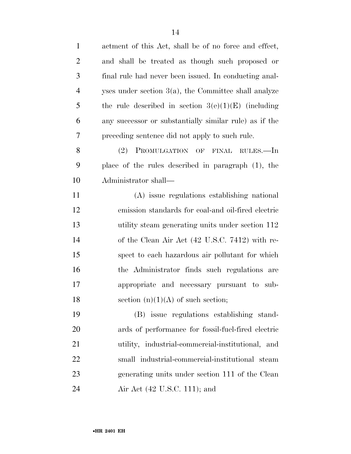| $\mathbf{1}$   | actment of this Act, shall be of no force and effect,   |
|----------------|---------------------------------------------------------|
| $\overline{2}$ | and shall be treated as though such proposed or         |
| $\mathfrak{Z}$ | final rule had never been issued. In conducting anal-   |
| $\overline{4}$ | yses under section $3(a)$ , the Committee shall analyze |
| 5              | the rule described in section $3(e)(1)(E)$ (including   |
| 6              | any successor or substantially similar rule) as if the  |
| 7              | preceding sentence did not apply to such rule.          |
| 8              | (2) PROMULGATION OF FINAL RULES.—In                     |
| 9              | place of the rules described in paragraph $(1)$ , the   |
| 10             | Administrator shall—                                    |
| 11             | (A) issue regulations establishing national             |
| 12             | emission standards for coal-and oil-fired electric      |
| 13             | utility steam generating units under section 112        |
| 14             | of the Clean Air Act (42 U.S.C. 7412) with re-          |
| 15             | spect to each hazardous air pollutant for which         |
| 16             | the Administrator finds such regulations are            |
| 17             | appropriate and necessary pursuant to sub-              |
| 18             | section $(n)(1)(A)$ of such section;                    |
| 19             | (B) issue regulations establishing stand-               |
| 20             | ards of performance for fossil-fuel-fired electric      |
| 21             | utility, industrial-commercial-institutional, and       |
| 22             | small industrial-commercial-institutional steam         |
| 23             | generating units under section 111 of the Clean         |
| 24             | Air Act (42 U.S.C. 111); and                            |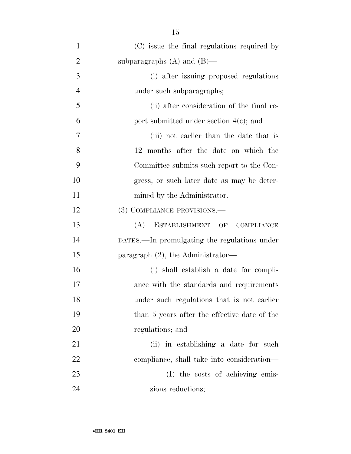| $\mathbf{1}$   | (C) issue the final regulations required by  |
|----------------|----------------------------------------------|
| $\overline{2}$ | subparagraphs $(A)$ and $(B)$ —              |
| 3              | (i) after issuing proposed regulations       |
| $\overline{4}$ | under such subparagraphs;                    |
| 5              | (ii) after consideration of the final re-    |
| 6              | port submitted under section $4(c)$ ; and    |
| 7              | (iii) not earlier than the date that is      |
| 8              | 12 months after the date on which the        |
| 9              | Committee submits such report to the Con-    |
| 10             | gress, or such later date as may be deter-   |
| 11             | mined by the Administrator.                  |
| 12             | (3) COMPLIANCE PROVISIONS.—                  |
| 13             | (A)<br>ESTABLISHMENT OF<br><b>COMPLIANCE</b> |
| 14             | DATES.—In promulgating the regulations under |
| 15             | paragraph $(2)$ , the Administrator—         |
| 16             | (i) shall establish a date for compli-       |
| 17             | ance with the standards and requirements     |
| 18             | under such regulations that is not earlier   |
| 19             | than 5 years after the effective date of the |
| 20             | regulations; and                             |
| 21             | (ii) in establishing a date for such         |
| 22             | compliance, shall take into consideration—   |
| 23             | (I) the costs of achieving emis-             |
| 24             | sions reductions;                            |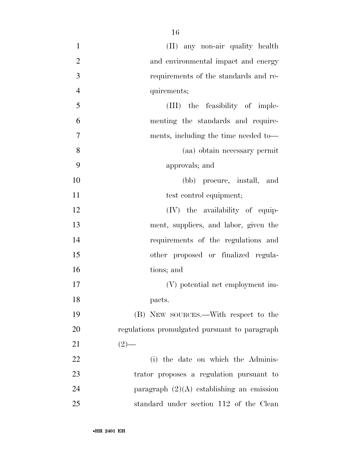| $\mathbf{1}$   | (II) any non-air quality health               |
|----------------|-----------------------------------------------|
| $\overline{2}$ | and environmental impact and energy           |
| 3              | requirements of the standards and re-         |
| $\overline{4}$ | quirements;                                   |
| 5              | (III) the feasibility of imple-               |
| 6              | menting the standards and require-            |
| 7              | ments, including the time needed to-          |
| 8              | (aa) obtain necessary permit                  |
| 9              | approvals; and                                |
| 10             | (bb) procure, install, and                    |
| 11             | test control equipment;                       |
| 12             | $(IV)$ the availability of equip-             |
| 13             | ment, suppliers, and labor, given the         |
| 14             | requirements of the regulations and           |
| 15             | other proposed or finalized regula-           |
| 16             | tions; and                                    |
| 17             | (V) potential net employment im-              |
| 18             | pacts.                                        |
| 19             | (B) NEW SOURCES.—With respect to the          |
| 20             | regulations promulgated pursuant to paragraph |
| 21             | $(2)$ —                                       |
| 22             | (i) the date on which the Adminis-            |
| 23             | trator proposes a regulation pursuant to      |
| 24             | paragraph $(2)(A)$ establishing an emission   |
| $25\,$         | standard under section 112 of the Clean       |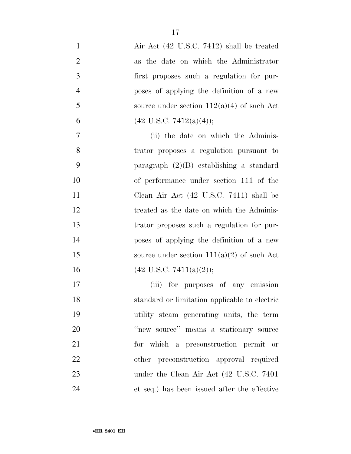| $\mathbf{1}$   | Air Act (42 U.S.C. 7412) shall be treated     |
|----------------|-----------------------------------------------|
| $\overline{2}$ | as the date on which the Administrator        |
| 3              | first proposes such a regulation for pur-     |
| $\overline{4}$ | poses of applying the definition of a new     |
| 5              | source under section $112(a)(4)$ of such Act  |
| 6              | $(42 \text{ U.S.C. } 7412(a)(4));$            |
| $\overline{7}$ | (ii) the date on which the Adminis-           |
| 8              | trator proposes a regulation pursuant to      |
| 9              | paragraph $(2)(B)$ establishing a standard    |
| 10             | of performance under section 111 of the       |
| 11             | Clean Air Act (42 U.S.C. 7411) shall be       |
| 12             | treated as the date on which the Adminis-     |
| 13             | trator proposes such a regulation for pur-    |
| 14             | poses of applying the definition of a new     |
| 15             | source under section $111(a)(2)$ of such Act  |
| 16             | $(42 \text{ U.S.C. } 7411(a)(2));$            |
| 17             | (iii) for purposes of any emission            |
| 18             | standard or limitation applicable to electric |
| 19             | utility steam generating units, the term      |
| 20             | "new source" means a stationary source        |
| 21             | for which a preconstruction permit or         |
| 22             | other preconstruction approval required       |
| 23             | under the Clean Air Act (42 U.S.C. 7401)      |
| 24             | et seq.) has been issued after the effective  |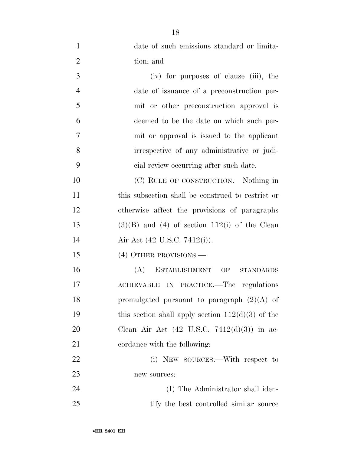| $\mathbf{1}$   | date of such emissions standard or limita-             |
|----------------|--------------------------------------------------------|
| $\overline{2}$ | tion; and                                              |
| 3              | (iv) for purposes of clause (iii), the                 |
| $\overline{4}$ | date of issuance of a preconstruction per-             |
| 5              | mit or other preconstruction approval is               |
| 6              | deemed to be the date on which such per-               |
| $\tau$         | mit or approval is issued to the applicant             |
| 8              | irrespective of any administrative or judi-            |
| 9              | cial review occurring after such date.                 |
| 10             | (C) RULE OF CONSTRUCTION.—Nothing in                   |
| 11             | this subsection shall be construed to restrict or      |
| 12             | otherwise affect the provisions of paragraphs          |
| 13             | $(3)(B)$ and $(4)$ of section 112(i) of the Clean      |
| 14             | Air Act (42 U.S.C. 7412(i)).                           |
| 15             | (4) OTHER PROVISIONS.—                                 |
| 16             | ESTABLISHMENT OF<br>(A)<br><b>STANDARDS</b>            |
| 17             | ACHIEVABLE IN PRACTICE.—The regulations                |
| 18             | promulgated pursuant to paragraph $(2)(A)$ of          |
| 19             | this section shall apply section $112(d)(3)$ of the    |
| 20             | Clean Air Act $(42 \text{ U.S.C. } 7412(d)(3))$ in ac- |
| 21             | cordance with the following:                           |
| 22             | (i) NEW SOURCES.—With respect to                       |
| 23             | new sources:                                           |
| 24             | (I) The Administrator shall iden-                      |
| 25             | tify the best controlled similar source                |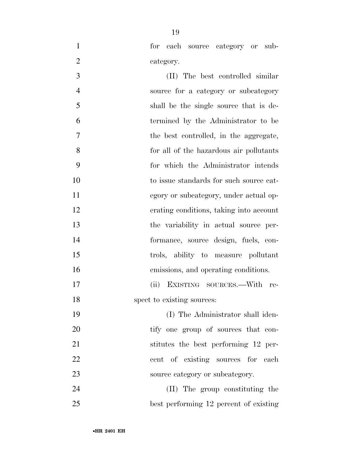- 
- for each source category or sub-2 category.
- (II) The best controlled similar source for a category or subcategory shall be the single source that is de- termined by the Administrator to be the best controlled, in the aggregate, for all of the hazardous air pollutants for which the Administrator intends 10 to issue standards for such source cat- egory or subcategory, under actual op- erating conditions, taking into account the variability in actual source per- formance, source design, fuels, con- trols, ability to measure pollutant emissions, and operating conditions. (ii) EXISTING SOURCES.—With re-18 spect to existing sources: (I) The Administrator shall iden-20 tify one group of sources that con-21 stitutes the best performing 12 per-22 cent of existing sources for each
- 23 source category or subcategory.
- (II) The group constituting the best performing 12 percent of existing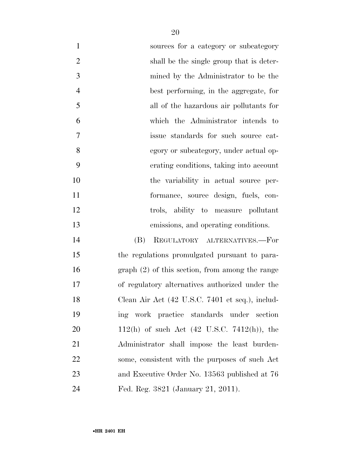| $\mathbf{1}$   | sources for a category or subcategory                          |
|----------------|----------------------------------------------------------------|
| $\overline{2}$ | shall be the single group that is deter-                       |
| 3              | mined by the Administrator to be the                           |
| $\overline{4}$ | best performing, in the aggregate, for                         |
| 5              | all of the hazardous air pollutants for                        |
| 6              | which the Administrator intends to                             |
| $\overline{7}$ | issue standards for such source cat-                           |
| 8              | egory or subcategory, under actual op-                         |
| 9              | erating conditions, taking into account                        |
| 10             | the variability in actual source per-                          |
| 11             | formance, source design, fuels, con-                           |
| 12             | trols, ability to measure pollutant                            |
| 13             | emissions, and operating conditions.                           |
| 14             | REGULATORY ALTERNATIVES.-For<br>(B)                            |
| 15             | the regulations promulgated pursuant to para-                  |
| 16             | $graph (2)$ of this section, from among the range              |
| 17             | of regulatory alternatives authorized under the                |
| 18             | Clean Air Act (42 U.S.C. 7401 et seq.), includ-                |
| 19             | ing work practice standards under section                      |
| 20             | 112(h) of such Act $(42 \text{ U.S.C. } 7412(\text{h}))$ , the |
| 21             | Administrator shall impose the least burden-                   |
| 22             | some, consistent with the purposes of such Act                 |
| 23             | and Executive Order No. 13563 published at 76                  |
| 24             | Fed. Reg. 3821 (January 21, 2011).                             |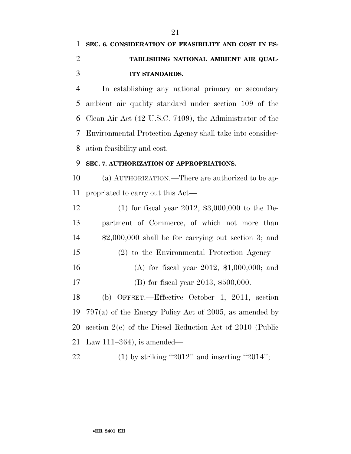## **SEC. 6. CONSIDERATION OF FEASIBILITY AND COST IN ES- TABLISHING NATIONAL AMBIENT AIR QUAL-ITY STANDARDS.**

 In establishing any national primary or secondary ambient air quality standard under section 109 of the Clean Air Act (42 U.S.C. 7409), the Administrator of the Environmental Protection Agency shall take into consider-ation feasibility and cost.

#### **SEC. 7. AUTHORIZATION OF APPROPRIATIONS.**

 (a) AUTHORIZATION.—There are authorized to be ap-propriated to carry out this Act—

 (1) for fiscal year 2012, \$3,000,000 to the De- partment of Commerce, of which not more than \$2,000,000 shall be for carrying out section 3; and (2) to the Environmental Protection Agency— (A) for fiscal year 2012, \$1,000,000; and (B) for fiscal year 2013, \$500,000.

 (b) OFFSET.—Effective October 1, 2011, section 797(a) of the Energy Policy Act of 2005, as amended by section 2(e) of the Diesel Reduction Act of 2010 (Public Law 111–364), is amended—

22 (1) by striking "2012" and inserting "2014";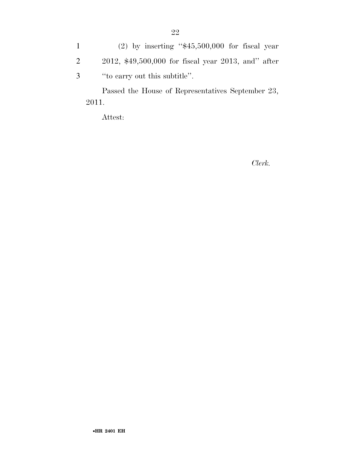1 (2) by inserting ''\$45,500,000 for fiscal year 2 2012, \$49,500,000 for fiscal year 2013, and'' after 3 ''to carry out this subtitle''.

Passed the House of Representatives September 23, 2011.

Attest:

*Clerk.*